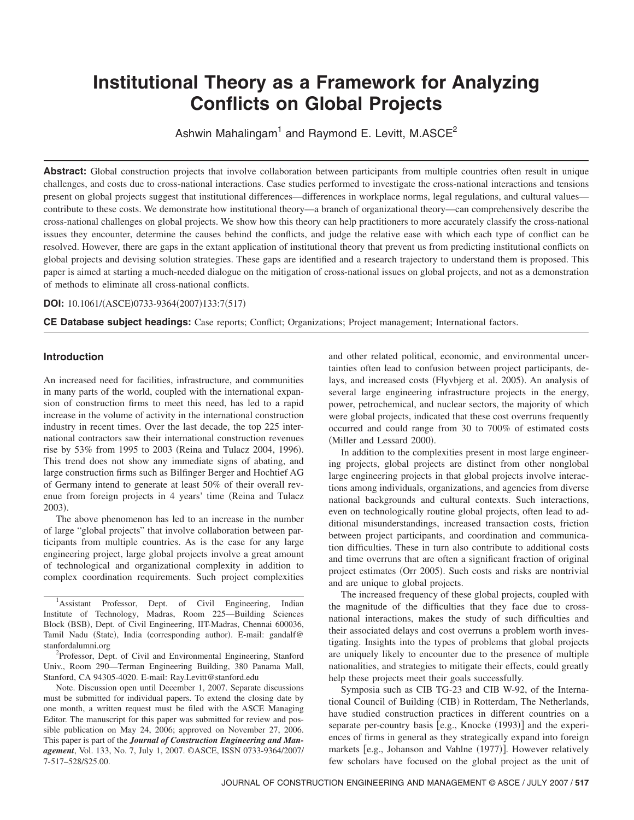# **Institutional Theory as a Framework for Analyzing Conflicts on Global Projects**

Ashwin Mahalingam<sup>1</sup> and Raymond E. Levitt, M.ASCE<sup>2</sup>

**Abstract:** Global construction projects that involve collaboration between participants from multiple countries often result in unique challenges, and costs due to cross-national interactions. Case studies performed to investigate the cross-national interactions and tensions present on global projects suggest that institutional differences—differences in workplace norms, legal regulations, and cultural values contribute to these costs. We demonstrate how institutional theory—a branch of organizational theory—can comprehensively describe the cross-national challenges on global projects. We show how this theory can help practitioners to more accurately classify the cross-national issues they encounter, determine the causes behind the conflicts, and judge the relative ease with which each type of conflict can be resolved. However, there are gaps in the extant application of institutional theory that prevent us from predicting institutional conflicts on global projects and devising solution strategies. These gaps are identified and a research trajectory to understand them is proposed. This paper is aimed at starting a much-needed dialogue on the mitigation of cross-national issues on global projects, and not as a demonstration of methods to eliminate all cross-national conflicts.

### **DOI:** 10.1061/(ASCE)0733-9364(2007)133:7(517)

**CE Database subject headings:** Case reports; Conflict; Organizations; Project management; International factors.

## **Introduction**

An increased need for facilities, infrastructure, and communities in many parts of the world, coupled with the international expansion of construction firms to meet this need, has led to a rapid increase in the volume of activity in the international construction industry in recent times. Over the last decade, the top 225 international contractors saw their international construction revenues rise by 53% from 1995 to 2003 (Reina and Tulacz 2004, 1996). This trend does not show any immediate signs of abating, and large construction firms such as Bilfinger Berger and Hochtief AG of Germany intend to generate at least 50% of their overall revenue from foreign projects in 4 years' time (Reina and Tulacz 2003).

The above phenomenon has led to an increase in the number of large "global projects" that involve collaboration between participants from multiple countries. As is the case for any large engineering project, large global projects involve a great amount of technological and organizational complexity in addition to complex coordination requirements. Such project complexities

<sup>1</sup>Assistant Professor, Dept. of Civil Engineering, Indian Institute of Technology, Madras, Room 225—Building Sciences Block (BSB), Dept. of Civil Engineering, IIT-Madras, Chennai 600036, Tamil Nadu (State), India (corresponding author). E-mail: gandalf@ stanfordalumni.org <sup>2</sup>

<sup>2</sup>Professor, Dept. of Civil and Environmental Engineering, Stanford Univ., Room 290—Terman Engineering Building, 380 Panama Mall, Stanford, CA 94305-4020. E-mail: Ray.Levitt@stanford.edu

Note. Discussion open until December 1, 2007. Separate discussions must be submitted for individual papers. To extend the closing date by one month, a written request must be filed with the ASCE Managing Editor. The manuscript for this paper was submitted for review and possible publication on May 24, 2006; approved on November 27, 2006. This paper is part of the *Journal of Construction Engineering and Management*, Vol. 133, No. 7, July 1, 2007. ©ASCE, ISSN 0733-9364/2007/ 7-517–528/\$25.00.

and other related political, economic, and environmental uncertainties often lead to confusion between project participants, delays, and increased costs (Flyvbjerg et al. 2005). An analysis of several large engineering infrastructure projects in the energy, power, petrochemical, and nuclear sectors, the majority of which were global projects, indicated that these cost overruns frequently occurred and could range from 30 to 700% of estimated costs (Miller and Lessard 2000).

In addition to the complexities present in most large engineering projects, global projects are distinct from other nonglobal large engineering projects in that global projects involve interactions among individuals, organizations, and agencies from diverse national backgrounds and cultural contexts. Such interactions, even on technologically routine global projects, often lead to additional misunderstandings, increased transaction costs, friction between project participants, and coordination and communication difficulties. These in turn also contribute to additional costs and time overruns that are often a significant fraction of original project estimates (Orr 2005). Such costs and risks are nontrivial and are unique to global projects.

The increased frequency of these global projects, coupled with the magnitude of the difficulties that they face due to crossnational interactions, makes the study of such difficulties and their associated delays and cost overruns a problem worth investigating. Insights into the types of problems that global projects are uniquely likely to encounter due to the presence of multiple nationalities, and strategies to mitigate their effects, could greatly help these projects meet their goals successfully.

Symposia such as CIB TG-23 and CIB W-92, of the International Council of Building (CIB) in Rotterdam, The Netherlands, have studied construction practices in different countries on a separate per-country basis [e.g., Knocke (1993)] and the experiences of firms in general as they strategically expand into foreign markets [e.g., Johanson and Vahlne (1977)]. However relatively few scholars have focused on the global project as the unit of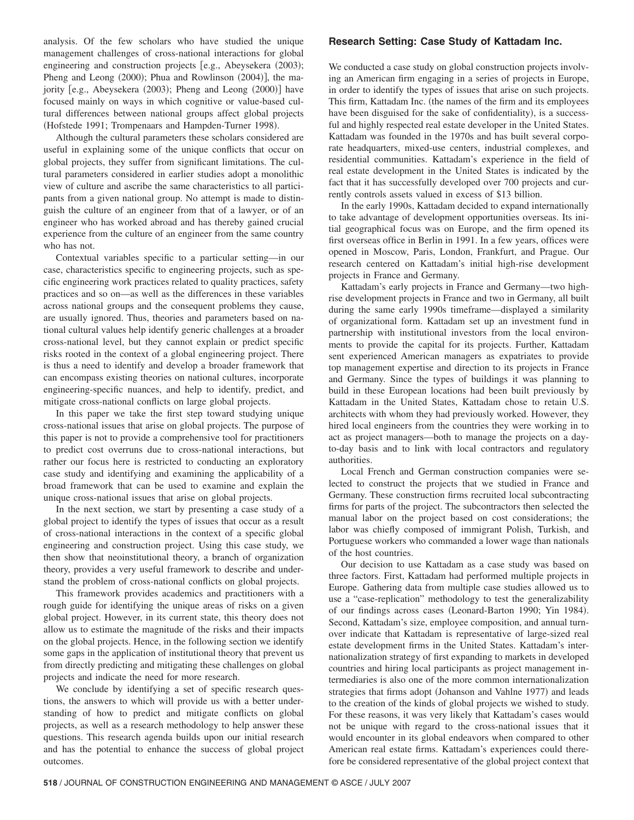analysis. Of the few scholars who have studied the unique management challenges of cross-national interactions for global engineering and construction projects [e.g., Abeysekera (2003); Pheng and Leong (2000); Phua and Rowlinson (2004)], the majority [e.g., Abeysekera (2003); Pheng and Leong (2000)] have focused mainly on ways in which cognitive or value-based cultural differences between national groups affect global projects (Hofstede 1991; Trompenaars and Hampden-Turner 1998).

Although the cultural parameters these scholars considered are useful in explaining some of the unique conflicts that occur on global projects, they suffer from significant limitations. The cultural parameters considered in earlier studies adopt a monolithic view of culture and ascribe the same characteristics to all participants from a given national group. No attempt is made to distinguish the culture of an engineer from that of a lawyer, or of an engineer who has worked abroad and has thereby gained crucial experience from the culture of an engineer from the same country who has not.

Contextual variables specific to a particular setting—in our case, characteristics specific to engineering projects, such as specific engineering work practices related to quality practices, safety practices and so on—as well as the differences in these variables across national groups and the consequent problems they cause, are usually ignored. Thus, theories and parameters based on national cultural values help identify generic challenges at a broader cross-national level, but they cannot explain or predict specific risks rooted in the context of a global engineering project. There is thus a need to identify and develop a broader framework that can encompass existing theories on national cultures, incorporate engineering-specific nuances, and help to identify, predict, and mitigate cross-national conflicts on large global projects.

In this paper we take the first step toward studying unique cross-national issues that arise on global projects. The purpose of this paper is not to provide a comprehensive tool for practitioners to predict cost overruns due to cross-national interactions, but rather our focus here is restricted to conducting an exploratory case study and identifying and examining the applicability of a broad framework that can be used to examine and explain the unique cross-national issues that arise on global projects.

In the next section, we start by presenting a case study of a global project to identify the types of issues that occur as a result of cross-national interactions in the context of a specific global engineering and construction project. Using this case study, we then show that neoinstitutional theory, a branch of organization theory, provides a very useful framework to describe and understand the problem of cross-national conflicts on global projects.

This framework provides academics and practitioners with a rough guide for identifying the unique areas of risks on a given global project. However, in its current state, this theory does not allow us to estimate the magnitude of the risks and their impacts on the global projects. Hence, in the following section we identify some gaps in the application of institutional theory that prevent us from directly predicting and mitigating these challenges on global projects and indicate the need for more research.

We conclude by identifying a set of specific research questions, the answers to which will provide us with a better understanding of how to predict and mitigate conflicts on global projects, as well as a research methodology to help answer these questions. This research agenda builds upon our initial research and has the potential to enhance the success of global project outcomes.

## **Research Setting: Case Study of Kattadam Inc.**

We conducted a case study on global construction projects involving an American firm engaging in a series of projects in Europe, in order to identify the types of issues that arise on such projects. This firm, Kattadam Inc. (the names of the firm and its employees have been disguised for the sake of confidentiality), is a successful and highly respected real estate developer in the United States. Kattadam was founded in the 1970s and has built several corporate headquarters, mixed-use centers, industrial complexes, and residential communities. Kattadam's experience in the field of real estate development in the United States is indicated by the fact that it has successfully developed over 700 projects and currently controls assets valued in excess of \$13 billion.

In the early 1990s, Kattadam decided to expand internationally to take advantage of development opportunities overseas. Its initial geographical focus was on Europe, and the firm opened its first overseas office in Berlin in 1991. In a few years, offices were opened in Moscow, Paris, London, Frankfurt, and Prague. Our research centered on Kattadam's initial high-rise development projects in France and Germany.

Kattadam's early projects in France and Germany—two highrise development projects in France and two in Germany, all built during the same early 1990s timeframe—displayed a similarity of organizational form. Kattadam set up an investment fund in partnership with institutional investors from the local environments to provide the capital for its projects. Further, Kattadam sent experienced American managers as expatriates to provide top management expertise and direction to its projects in France and Germany. Since the types of buildings it was planning to build in these European locations had been built previously by Kattadam in the United States, Kattadam chose to retain U.S. architects with whom they had previously worked. However, they hired local engineers from the countries they were working in to act as project managers—both to manage the projects on a dayto-day basis and to link with local contractors and regulatory authorities.

Local French and German construction companies were selected to construct the projects that we studied in France and Germany. These construction firms recruited local subcontracting firms for parts of the project. The subcontractors then selected the manual labor on the project based on cost considerations; the labor was chiefly composed of immigrant Polish, Turkish, and Portuguese workers who commanded a lower wage than nationals of the host countries.

Our decision to use Kattadam as a case study was based on three factors. First, Kattadam had performed multiple projects in Europe. Gathering data from multiple case studies allowed us to use a "case-replication" methodology to test the generalizability of our findings across cases (Leonard-Barton 1990; Yin 1984). Second, Kattadam's size, employee composition, and annual turnover indicate that Kattadam is representative of large-sized real estate development firms in the United States. Kattadam's internationalization strategy of first expanding to markets in developed countries and hiring local participants as project management intermediaries is also one of the more common internationalization strategies that firms adopt (Johanson and Vahlne 1977) and leads to the creation of the kinds of global projects we wished to study. For these reasons, it was very likely that Kattadam's cases would not be unique with regard to the cross-national issues that it would encounter in its global endeavors when compared to other American real estate firms. Kattadam's experiences could therefore be considered representative of the global project context that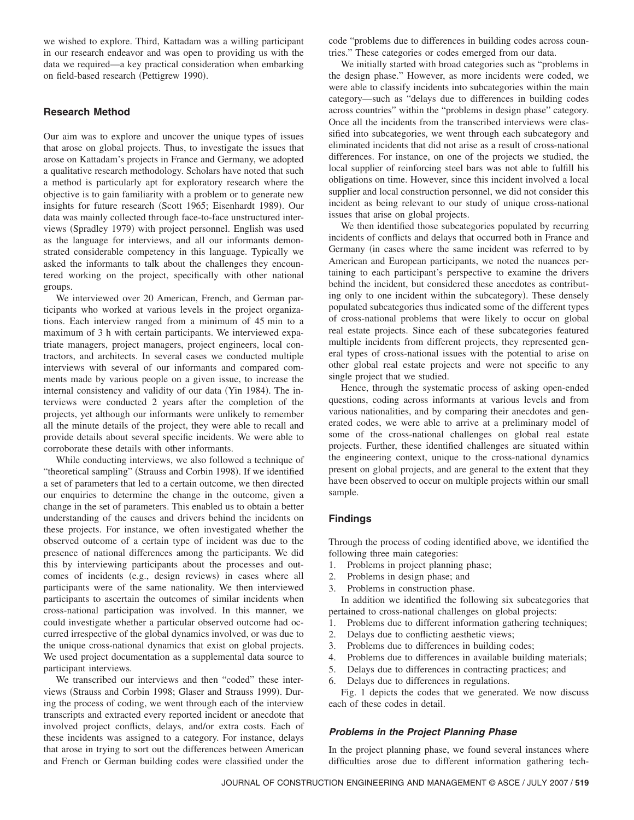we wished to explore. Third, Kattadam was a willing participant in our research endeavor and was open to providing us with the data we required—a key practical consideration when embarking on field-based research (Pettigrew 1990).

## **Research Method**

Our aim was to explore and uncover the unique types of issues that arose on global projects. Thus, to investigate the issues that arose on Kattadam's projects in France and Germany, we adopted a qualitative research methodology. Scholars have noted that such a method is particularly apt for exploratory research where the objective is to gain familiarity with a problem or to generate new insights for future research (Scott 1965; Eisenhardt 1989). Our data was mainly collected through face-to-face unstructured interviews (Spradley 1979) with project personnel. English was used as the language for interviews, and all our informants demonstrated considerable competency in this language. Typically we asked the informants to talk about the challenges they encountered working on the project, specifically with other national groups.

We interviewed over 20 American, French, and German participants who worked at various levels in the project organizations. Each interview ranged from a minimum of 45 min to a maximum of 3 h with certain participants. We interviewed expatriate managers, project managers, project engineers, local contractors, and architects. In several cases we conducted multiple interviews with several of our informants and compared comments made by various people on a given issue, to increase the internal consistency and validity of our data (Yin 1984). The interviews were conducted 2 years after the completion of the projects, yet although our informants were unlikely to remember all the minute details of the project, they were able to recall and provide details about several specific incidents. We were able to corroborate these details with other informants.

While conducting interviews, we also followed a technique of "theoretical sampling" (Strauss and Corbin 1998). If we identified a set of parameters that led to a certain outcome, we then directed our enquiries to determine the change in the outcome, given a change in the set of parameters. This enabled us to obtain a better understanding of the causes and drivers behind the incidents on these projects. For instance, we often investigated whether the observed outcome of a certain type of incident was due to the presence of national differences among the participants. We did this by interviewing participants about the processes and outcomes of incidents (e.g., design reviews) in cases where all participants were of the same nationality. We then interviewed participants to ascertain the outcomes of similar incidents when cross-national participation was involved. In this manner, we could investigate whether a particular observed outcome had occurred irrespective of the global dynamics involved, or was due to the unique cross-national dynamics that exist on global projects. We used project documentation as a supplemental data source to participant interviews.

We transcribed our interviews and then "coded" these interviews (Strauss and Corbin 1998; Glaser and Strauss 1999). During the process of coding, we went through each of the interview transcripts and extracted every reported incident or anecdote that involved project conflicts, delays, and/or extra costs. Each of these incidents was assigned to a category. For instance, delays that arose in trying to sort out the differences between American and French or German building codes were classified under the

code "problems due to differences in building codes across countries." These categories or codes emerged from our data.

We initially started with broad categories such as "problems in the design phase." However, as more incidents were coded, we were able to classify incidents into subcategories within the main category—such as "delays due to differences in building codes across countries" within the "problems in design phase" category. Once all the incidents from the transcribed interviews were classified into subcategories, we went through each subcategory and eliminated incidents that did not arise as a result of cross-national differences. For instance, on one of the projects we studied, the local supplier of reinforcing steel bars was not able to fulfill his obligations on time. However, since this incident involved a local supplier and local construction personnel, we did not consider this incident as being relevant to our study of unique cross-national issues that arise on global projects.

We then identified those subcategories populated by recurring incidents of conflicts and delays that occurred both in France and Germany (in cases where the same incident was referred to by American and European participants, we noted the nuances pertaining to each participant's perspective to examine the drivers behind the incident, but considered these anecdotes as contributing only to one incident within the subcategory). These densely populated subcategories thus indicated some of the different types of cross-national problems that were likely to occur on global real estate projects. Since each of these subcategories featured multiple incidents from different projects, they represented general types of cross-national issues with the potential to arise on other global real estate projects and were not specific to any single project that we studied.

Hence, through the systematic process of asking open-ended questions, coding across informants at various levels and from various nationalities, and by comparing their anecdotes and generated codes, we were able to arrive at a preliminary model of some of the cross-national challenges on global real estate projects. Further, these identified challenges are situated within the engineering context, unique to the cross-national dynamics present on global projects, and are general to the extent that they have been observed to occur on multiple projects within our small sample.

## **Findings**

Through the process of coding identified above, we identified the following three main categories:

- 1. Problems in project planning phase;
- 2. Problems in design phase; and
- 3. Problems in construction phase.

In addition we identified the following six subcategories that pertained to cross-national challenges on global projects:

- Problems due to different information gathering techniques;
- 2. Delays due to conflicting aesthetic views;
- 3. Problems due to differences in building codes;
- 4. Problems due to differences in available building materials;
- 5. Delays due to differences in contracting practices; and
- Delays due to differences in regulations.

Fig. 1 depicts the codes that we generated. We now discuss each of these codes in detail.

#### *Problems in the Project Planning Phase*

In the project planning phase, we found several instances where difficulties arose due to different information gathering tech-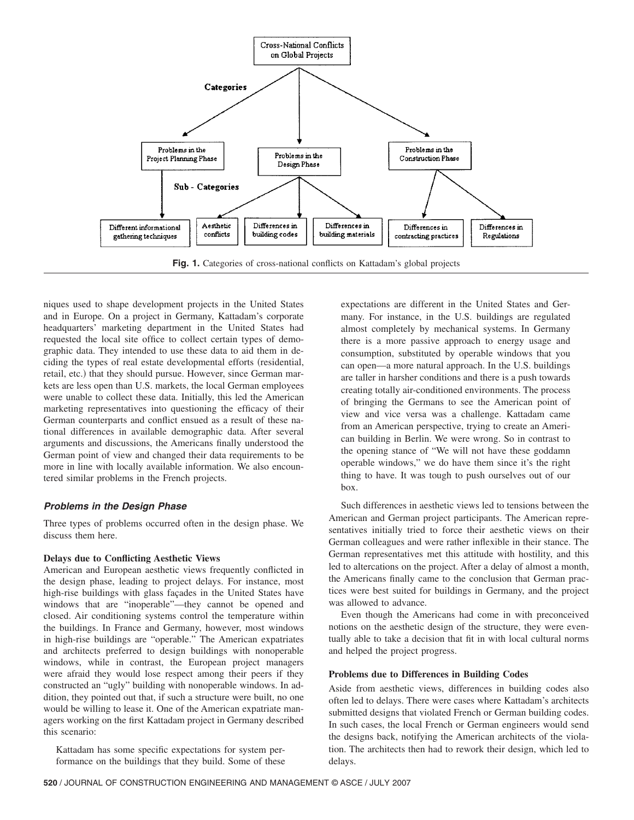

niques used to shape development projects in the United States and in Europe. On a project in Germany, Kattadam's corporate headquarters' marketing department in the United States had requested the local site office to collect certain types of demographic data. They intended to use these data to aid them in deciding the types of real estate developmental efforts (residential, retail, etc.) that they should pursue. However, since German markets are less open than U.S. markets, the local German employees were unable to collect these data. Initially, this led the American marketing representatives into questioning the efficacy of their German counterparts and conflict ensued as a result of these national differences in available demographic data. After several arguments and discussions, the Americans finally understood the German point of view and changed their data requirements to be more in line with locally available information. We also encountered similar problems in the French projects.

## *Problems in the Design Phase*

Three types of problems occurred often in the design phase. We discuss them here.

## **Delays due to Conflicting Aesthetic Views**

American and European aesthetic views frequently conflicted in the design phase, leading to project delays. For instance, most high-rise buildings with glass façades in the United States have windows that are "inoperable"—they cannot be opened and closed. Air conditioning systems control the temperature within the buildings. In France and Germany, however, most windows in high-rise buildings are "operable." The American expatriates and architects preferred to design buildings with nonoperable windows, while in contrast, the European project managers were afraid they would lose respect among their peers if they constructed an "ugly" building with nonoperable windows. In addition, they pointed out that, if such a structure were built, no one would be willing to lease it. One of the American expatriate managers working on the first Kattadam project in Germany described this scenario:

Kattadam has some specific expectations for system performance on the buildings that they build. Some of these expectations are different in the United States and Germany. For instance, in the U.S. buildings are regulated almost completely by mechanical systems. In Germany there is a more passive approach to energy usage and consumption, substituted by operable windows that you can open—a more natural approach. In the U.S. buildings are taller in harsher conditions and there is a push towards creating totally air-conditioned environments. The process of bringing the Germans to see the American point of view and vice versa was a challenge. Kattadam came from an American perspective, trying to create an American building in Berlin. We were wrong. So in contrast to the opening stance of "We will not have these goddamn operable windows," we do have them since it's the right thing to have. It was tough to push ourselves out of our box.

Such differences in aesthetic views led to tensions between the American and German project participants. The American representatives initially tried to force their aesthetic views on their German colleagues and were rather inflexible in their stance. The German representatives met this attitude with hostility, and this led to altercations on the project. After a delay of almost a month, the Americans finally came to the conclusion that German practices were best suited for buildings in Germany, and the project was allowed to advance.

Even though the Americans had come in with preconceived notions on the aesthetic design of the structure, they were eventually able to take a decision that fit in with local cultural norms and helped the project progress.

## **Problems due to Differences in Building Codes**

Aside from aesthetic views, differences in building codes also often led to delays. There were cases where Kattadam's architects submitted designs that violated French or German building codes. In such cases, the local French or German engineers would send the designs back, notifying the American architects of the violation. The architects then had to rework their design, which led to delays.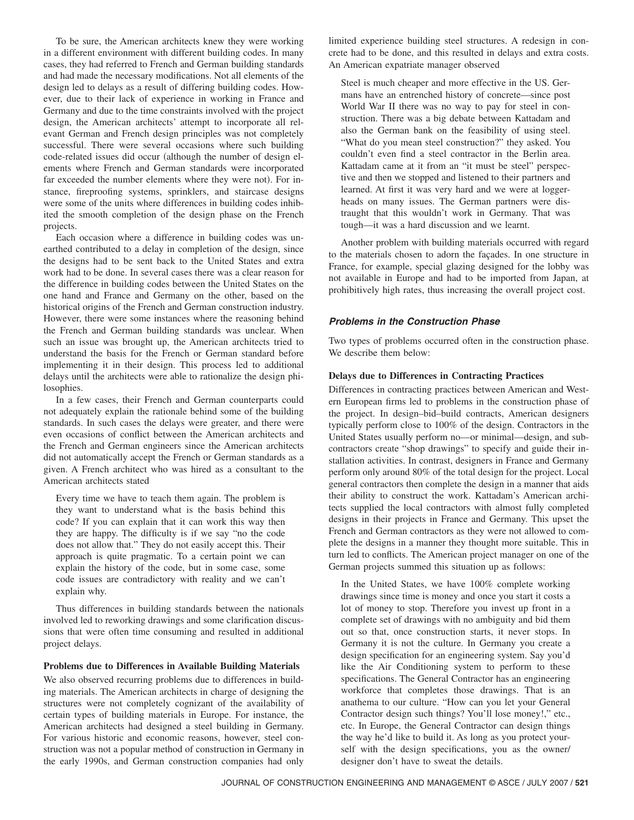To be sure, the American architects knew they were working in a different environment with different building codes. In many cases, they had referred to French and German building standards and had made the necessary modifications. Not all elements of the design led to delays as a result of differing building codes. However, due to their lack of experience in working in France and Germany and due to the time constraints involved with the project design, the American architects' attempt to incorporate all relevant German and French design principles was not completely successful. There were several occasions where such building code-related issues did occur (although the number of design elements where French and German standards were incorporated far exceeded the number elements where they were not). For instance, fireproofing systems, sprinklers, and staircase designs were some of the units where differences in building codes inhibited the smooth completion of the design phase on the French projects.

Each occasion where a difference in building codes was unearthed contributed to a delay in completion of the design, since the designs had to be sent back to the United States and extra work had to be done. In several cases there was a clear reason for the difference in building codes between the United States on the one hand and France and Germany on the other, based on the historical origins of the French and German construction industry. However, there were some instances where the reasoning behind the French and German building standards was unclear. When such an issue was brought up, the American architects tried to understand the basis for the French or German standard before implementing it in their design. This process led to additional delays until the architects were able to rationalize the design philosophies.

In a few cases, their French and German counterparts could not adequately explain the rationale behind some of the building standards. In such cases the delays were greater, and there were even occasions of conflict between the American architects and the French and German engineers since the American architects did not automatically accept the French or German standards as a given. A French architect who was hired as a consultant to the American architects stated

Every time we have to teach them again. The problem is they want to understand what is the basis behind this code? If you can explain that it can work this way then they are happy. The difficulty is if we say "no the code does not allow that." They do not easily accept this. Their approach is quite pragmatic. To a certain point we can explain the history of the code, but in some case, some code issues are contradictory with reality and we can't explain why.

Thus differences in building standards between the nationals involved led to reworking drawings and some clarification discussions that were often time consuming and resulted in additional project delays.

## **Problems due to Differences in Available Building Materials**

We also observed recurring problems due to differences in building materials. The American architects in charge of designing the structures were not completely cognizant of the availability of certain types of building materials in Europe. For instance, the American architects had designed a steel building in Germany. For various historic and economic reasons, however, steel construction was not a popular method of construction in Germany in the early 1990s, and German construction companies had only

limited experience building steel structures. A redesign in concrete had to be done, and this resulted in delays and extra costs. An American expatriate manager observed

Steel is much cheaper and more effective in the US. Germans have an entrenched history of concrete—since post World War II there was no way to pay for steel in construction. There was a big debate between Kattadam and also the German bank on the feasibility of using steel. "What do you mean steel construction?" they asked. You couldn't even find a steel contractor in the Berlin area. Kattadam came at it from an "it must be steel" perspective and then we stopped and listened to their partners and learned. At first it was very hard and we were at loggerheads on many issues. The German partners were distraught that this wouldn't work in Germany. That was tough—it was a hard discussion and we learnt.

Another problem with building materials occurred with regard to the materials chosen to adorn the façades. In one structure in France, for example, special glazing designed for the lobby was not available in Europe and had to be imported from Japan, at prohibitively high rates, thus increasing the overall project cost.

## *Problems in the Construction Phase*

Two types of problems occurred often in the construction phase. We describe them below:

#### **Delays due to Differences in Contracting Practices**

Differences in contracting practices between American and Western European firms led to problems in the construction phase of the project. In design–bid–build contracts, American designers typically perform close to 100% of the design. Contractors in the United States usually perform no—or minimal—design, and subcontractors create "shop drawings" to specify and guide their installation activities. In contrast, designers in France and Germany perform only around 80% of the total design for the project. Local general contractors then complete the design in a manner that aids their ability to construct the work. Kattadam's American architects supplied the local contractors with almost fully completed designs in their projects in France and Germany. This upset the French and German contractors as they were not allowed to complete the designs in a manner they thought more suitable. This in turn led to conflicts. The American project manager on one of the German projects summed this situation up as follows:

In the United States, we have 100% complete working drawings since time is money and once you start it costs a lot of money to stop. Therefore you invest up front in a complete set of drawings with no ambiguity and bid them out so that, once construction starts, it never stops. In Germany it is not the culture. In Germany you create a design specification for an engineering system. Say you'd like the Air Conditioning system to perform to these specifications. The General Contractor has an engineering workforce that completes those drawings. That is an anathema to our culture. "How can you let your General Contractor design such things? You'll lose money!," etc., etc. In Europe, the General Contractor can design things the way he'd like to build it. As long as you protect yourself with the design specifications, you as the owner/ designer don't have to sweat the details.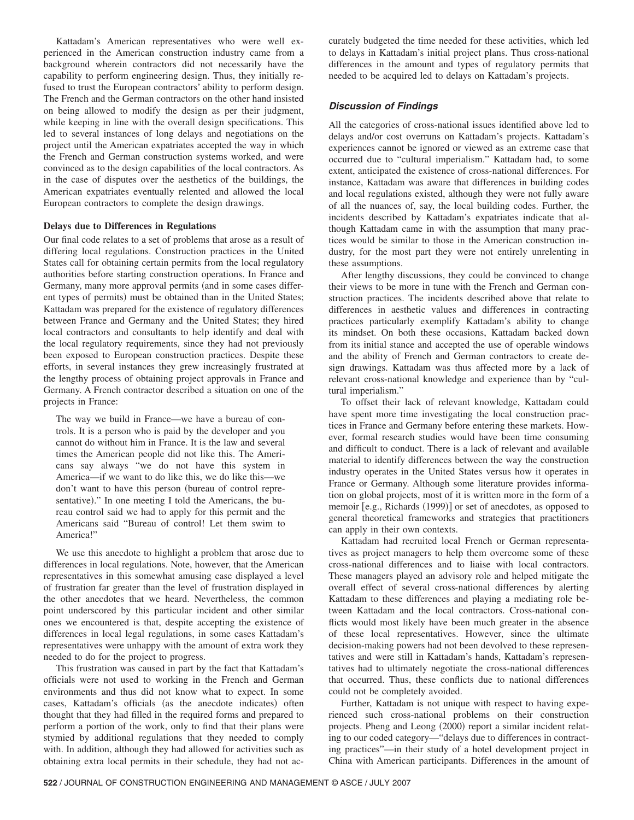Kattadam's American representatives who were well experienced in the American construction industry came from a background wherein contractors did not necessarily have the capability to perform engineering design. Thus, they initially refused to trust the European contractors' ability to perform design. The French and the German contractors on the other hand insisted on being allowed to modify the design as per their judgment, while keeping in line with the overall design specifications. This led to several instances of long delays and negotiations on the project until the American expatriates accepted the way in which the French and German construction systems worked, and were convinced as to the design capabilities of the local contractors. As in the case of disputes over the aesthetics of the buildings, the American expatriates eventually relented and allowed the local European contractors to complete the design drawings.

## **Delays due to Differences in Regulations**

Our final code relates to a set of problems that arose as a result of differing local regulations. Construction practices in the United States call for obtaining certain permits from the local regulatory authorities before starting construction operations. In France and Germany, many more approval permits (and in some cases different types of permits) must be obtained than in the United States; Kattadam was prepared for the existence of regulatory differences between France and Germany and the United States; they hired local contractors and consultants to help identify and deal with the local regulatory requirements, since they had not previously been exposed to European construction practices. Despite these efforts, in several instances they grew increasingly frustrated at the lengthy process of obtaining project approvals in France and Germany. A French contractor described a situation on one of the projects in France:

The way we build in France—we have a bureau of controls. It is a person who is paid by the developer and you cannot do without him in France. It is the law and several times the American people did not like this. The Americans say always "we do not have this system in America—if we want to do like this, we do like this—we don't want to have this person (bureau of control representative)." In one meeting I told the Americans, the bureau control said we had to apply for this permit and the Americans said "Bureau of control! Let them swim to America!"

We use this anecdote to highlight a problem that arose due to differences in local regulations. Note, however, that the American representatives in this somewhat amusing case displayed a level of frustration far greater than the level of frustration displayed in the other anecdotes that we heard. Nevertheless, the common point underscored by this particular incident and other similar ones we encountered is that, despite accepting the existence of differences in local legal regulations, in some cases Kattadam's representatives were unhappy with the amount of extra work they needed to do for the project to progress.

This frustration was caused in part by the fact that Kattadam's officials were not used to working in the French and German environments and thus did not know what to expect. In some cases, Kattadam's officials (as the anecdote indicates) often thought that they had filled in the required forms and prepared to perform a portion of the work, only to find that their plans were stymied by additional regulations that they needed to comply with. In addition, although they had allowed for activities such as obtaining extra local permits in their schedule, they had not accurately budgeted the time needed for these activities, which led to delays in Kattadam's initial project plans. Thus cross-national differences in the amount and types of regulatory permits that needed to be acquired led to delays on Kattadam's projects.

## *Discussion of Findings*

All the categories of cross-national issues identified above led to delays and/or cost overruns on Kattadam's projects. Kattadam's experiences cannot be ignored or viewed as an extreme case that occurred due to "cultural imperialism." Kattadam had, to some extent, anticipated the existence of cross-national differences. For instance, Kattadam was aware that differences in building codes and local regulations existed, although they were not fully aware of all the nuances of, say, the local building codes. Further, the incidents described by Kattadam's expatriates indicate that although Kattadam came in with the assumption that many practices would be similar to those in the American construction industry, for the most part they were not entirely unrelenting in these assumptions.

After lengthy discussions, they could be convinced to change their views to be more in tune with the French and German construction practices. The incidents described above that relate to differences in aesthetic values and differences in contracting practices particularly exemplify Kattadam's ability to change its mindset. On both these occasions, Kattadam backed down from its initial stance and accepted the use of operable windows and the ability of French and German contractors to create design drawings. Kattadam was thus affected more by a lack of relevant cross-national knowledge and experience than by "cultural imperialism."

To offset their lack of relevant knowledge, Kattadam could have spent more time investigating the local construction practices in France and Germany before entering these markets. However, formal research studies would have been time consuming and difficult to conduct. There is a lack of relevant and available material to identify differences between the way the construction industry operates in the United States versus how it operates in France or Germany. Although some literature provides information on global projects, most of it is written more in the form of a memoir [e.g., Richards (1999)] or set of anecdotes, as opposed to general theoretical frameworks and strategies that practitioners can apply in their own contexts.

Kattadam had recruited local French or German representatives as project managers to help them overcome some of these cross-national differences and to liaise with local contractors. These managers played an advisory role and helped mitigate the overall effect of several cross-national differences by alerting Kattadam to these differences and playing a mediating role between Kattadam and the local contractors. Cross-national conflicts would most likely have been much greater in the absence of these local representatives. However, since the ultimate decision-making powers had not been devolved to these representatives and were still in Kattadam's hands, Kattadam's representatives had to ultimately negotiate the cross-national differences that occurred. Thus, these conflicts due to national differences could not be completely avoided.

Further, Kattadam is not unique with respect to having experienced such cross-national problems on their construction projects. Pheng and Leong (2000) report a similar incident relating to our coded category—"delays due to differences in contracting practices"—in their study of a hotel development project in China with American participants. Differences in the amount of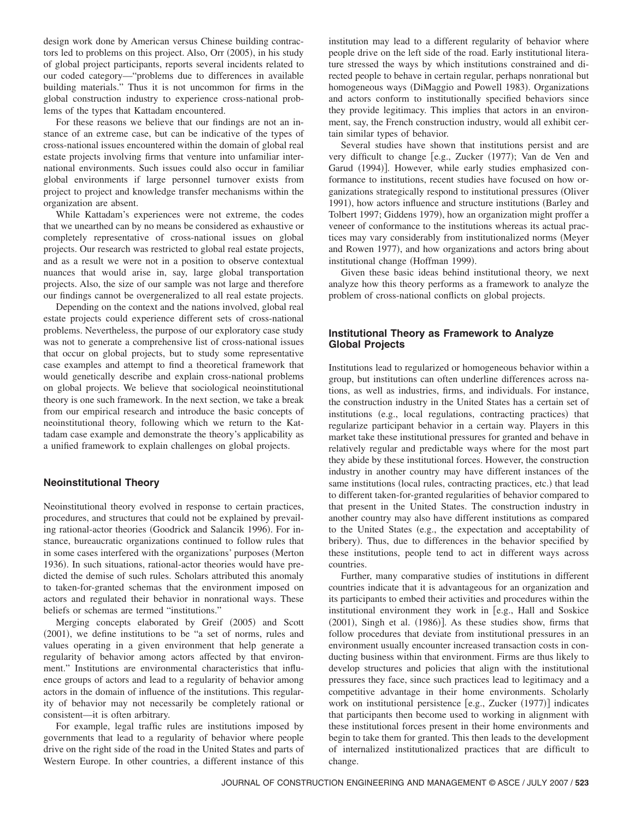design work done by American versus Chinese building contractors led to problems on this project. Also, Orr (2005), in his study of global project participants, reports several incidents related to our coded category—"problems due to differences in available building materials." Thus it is not uncommon for firms in the global construction industry to experience cross-national problems of the types that Kattadam encountered.

For these reasons we believe that our findings are not an instance of an extreme case, but can be indicative of the types of cross-national issues encountered within the domain of global real estate projects involving firms that venture into unfamiliar international environments. Such issues could also occur in familiar global environments if large personnel turnover exists from project to project and knowledge transfer mechanisms within the organization are absent.

While Kattadam's experiences were not extreme, the codes that we unearthed can by no means be considered as exhaustive or completely representative of cross-national issues on global projects. Our research was restricted to global real estate projects, and as a result we were not in a position to observe contextual nuances that would arise in, say, large global transportation projects. Also, the size of our sample was not large and therefore our findings cannot be overgeneralized to all real estate projects.

Depending on the context and the nations involved, global real estate projects could experience different sets of cross-national problems. Nevertheless, the purpose of our exploratory case study was not to generate a comprehensive list of cross-national issues that occur on global projects, but to study some representative case examples and attempt to find a theoretical framework that would genetically describe and explain cross-national problems on global projects. We believe that sociological neoinstitutional theory is one such framework. In the next section, we take a break from our empirical research and introduce the basic concepts of neoinstitutional theory, following which we return to the Kattadam case example and demonstrate the theory's applicability as a unified framework to explain challenges on global projects.

#### **Neoinstitutional Theory**

Neoinstitutional theory evolved in response to certain practices, procedures, and structures that could not be explained by prevailing rational-actor theories (Goodrick and Salancik 1996). For instance, bureaucratic organizations continued to follow rules that in some cases interfered with the organizations' purposes (Merton 1936). In such situations, rational-actor theories would have predicted the demise of such rules. Scholars attributed this anomaly to taken-for-granted schemas that the environment imposed on actors and regulated their behavior in nonrational ways. These beliefs or schemas are termed "institutions."

Merging concepts elaborated by Greif (2005) and Scott  $(2001)$ , we define institutions to be "a set of norms, rules and values operating in a given environment that help generate a regularity of behavior among actors affected by that environment." Institutions are environmental characteristics that influence groups of actors and lead to a regularity of behavior among actors in the domain of influence of the institutions. This regularity of behavior may not necessarily be completely rational or consistent—it is often arbitrary.

For example, legal traffic rules are institutions imposed by governments that lead to a regularity of behavior where people drive on the right side of the road in the United States and parts of Western Europe. In other countries, a different instance of this

institution may lead to a different regularity of behavior where people drive on the left side of the road. Early institutional literature stressed the ways by which institutions constrained and directed people to behave in certain regular, perhaps nonrational but homogeneous ways (DiMaggio and Powell 1983). Organizations and actors conform to institutionally specified behaviors since they provide legitimacy. This implies that actors in an environment, say, the French construction industry, would all exhibit certain similar types of behavior.

Several studies have shown that institutions persist and are very difficult to change [e.g., Zucker (1977); Van de Ven and Garud (1994)]. However, while early studies emphasized conformance to institutions, recent studies have focused on how organizations strategically respond to institutional pressures Oliver 1991), how actors influence and structure institutions (Barley and Tolbert 1997; Giddens 1979), how an organization might proffer a veneer of conformance to the institutions whereas its actual practices may vary considerably from institutionalized norms (Meyer and Rowen 1977), and how organizations and actors bring about institutional change (Hoffman 1999).

Given these basic ideas behind institutional theory, we next analyze how this theory performs as a framework to analyze the problem of cross-national conflicts on global projects.

## **Institutional Theory as Framework to Analyze Global Projects**

Institutions lead to regularized or homogeneous behavior within a group, but institutions can often underline differences across nations, as well as industries, firms, and individuals. For instance, the construction industry in the United States has a certain set of institutions (e.g., local regulations, contracting practices) that regularize participant behavior in a certain way. Players in this market take these institutional pressures for granted and behave in relatively regular and predictable ways where for the most part they abide by these institutional forces. However, the construction industry in another country may have different instances of the same institutions (local rules, contracting practices, etc.) that lead to different taken-for-granted regularities of behavior compared to that present in the United States. The construction industry in another country may also have different institutions as compared to the United States (e.g., the expectation and acceptability of bribery). Thus, due to differences in the behavior specified by these institutions, people tend to act in different ways across countries.

Further, many comparative studies of institutions in different countries indicate that it is advantageous for an organization and its participants to embed their activities and procedures within the institutional environment they work in  $[e.g., Hall]$  and Soskice  $(2001)$ , Singh et al.  $(1986)$ ]. As these studies show, firms that follow procedures that deviate from institutional pressures in an environment usually encounter increased transaction costs in conducting business within that environment. Firms are thus likely to develop structures and policies that align with the institutional pressures they face, since such practices lead to legitimacy and a competitive advantage in their home environments. Scholarly work on institutional persistence [e.g., Zucker (1977)] indicates that participants then become used to working in alignment with these institutional forces present in their home environments and begin to take them for granted. This then leads to the development of internalized institutionalized practices that are difficult to change.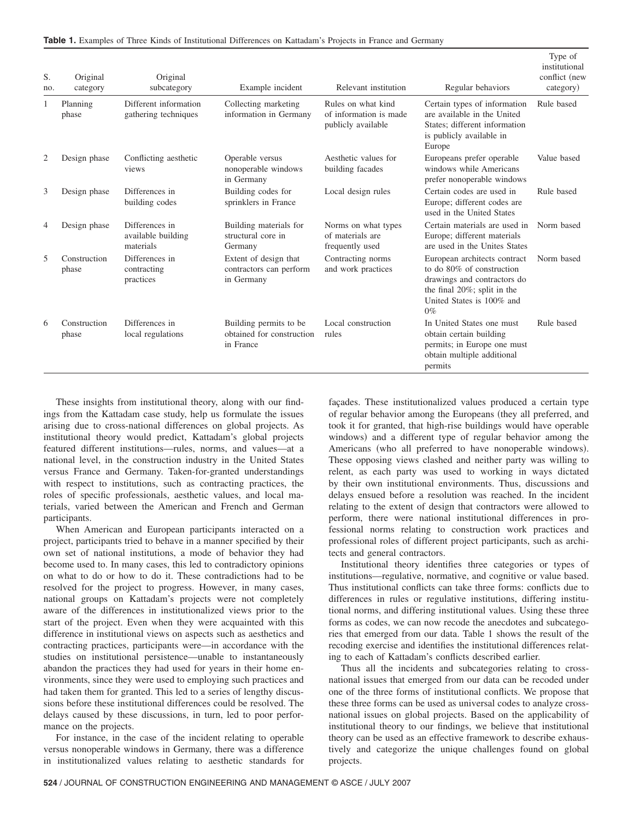| S.<br>no.      | Original<br>category  | Original<br>subcategory                           | Example incident                                                  | Relevant institution                                               | Regular behaviors                                                                                                                                                 | Type of<br>institutional<br>conflict (new<br>category) |
|----------------|-----------------------|---------------------------------------------------|-------------------------------------------------------------------|--------------------------------------------------------------------|-------------------------------------------------------------------------------------------------------------------------------------------------------------------|--------------------------------------------------------|
|                | Planning<br>phase     | Different information<br>gathering techniques     | Collecting marketing<br>information in Germany                    | Rules on what kind<br>of information is made<br>publicly available | Certain types of information<br>are available in the United<br>States; different information<br>is publicly available in<br>Europe                                | Rule based                                             |
| $\overline{2}$ | Design phase          | Conflicting aesthetic<br>views                    | Operable versus<br>nonoperable windows<br>in Germany              | Aesthetic values for<br>building facades                           | Europeans prefer operable<br>windows while Americans<br>prefer nonoperable windows                                                                                | Value based                                            |
| 3              | Design phase          | Differences in<br>building codes                  | Building codes for<br>sprinklers in France                        | Local design rules                                                 | Certain codes are used in<br>Europe; different codes are<br>used in the United States                                                                             | Rule based                                             |
| 4              | Design phase          | Differences in<br>available building<br>materials | Building materials for<br>structural core in<br>Germany           | Norms on what types<br>of materials are<br>frequently used         | Certain materials are used in<br>Europe; different materials<br>are used in the Unites States                                                                     | Norm based                                             |
| 5              | Construction<br>phase | Differences in<br>contracting<br>practices        | Extent of design that<br>contractors can perform<br>in Germany    | Contracting norms<br>and work practices                            | European architects contract<br>to do 80% of construction<br>drawings and contractors do<br>the final $20\%$ ; split in the<br>United States is 100% and<br>$0\%$ | Norm based                                             |
| 6              | Construction<br>phase | Differences in<br>local regulations               | Building permits to be.<br>obtained for construction<br>in France | Local construction<br>rules                                        | In United States one must<br>obtain certain building<br>permits; in Europe one must<br>obtain multiple additional<br>permits                                      | Rule based                                             |

These insights from institutional theory, along with our findings from the Kattadam case study, help us formulate the issues arising due to cross-national differences on global projects. As institutional theory would predict, Kattadam's global projects featured different institutions—rules, norms, and values—at a national level, in the construction industry in the United States versus France and Germany. Taken-for-granted understandings with respect to institutions, such as contracting practices, the roles of specific professionals, aesthetic values, and local materials, varied between the American and French and German participants.

When American and European participants interacted on a project, participants tried to behave in a manner specified by their own set of national institutions, a mode of behavior they had become used to. In many cases, this led to contradictory opinions on what to do or how to do it. These contradictions had to be resolved for the project to progress. However, in many cases, national groups on Kattadam's projects were not completely aware of the differences in institutionalized views prior to the start of the project. Even when they were acquainted with this difference in institutional views on aspects such as aesthetics and contracting practices, participants were—in accordance with the studies on institutional persistence—unable to instantaneously abandon the practices they had used for years in their home environments, since they were used to employing such practices and had taken them for granted. This led to a series of lengthy discussions before these institutional differences could be resolved. The delays caused by these discussions, in turn, led to poor performance on the projects.

For instance, in the case of the incident relating to operable versus nonoperable windows in Germany, there was a difference in institutionalized values relating to aesthetic standards for

façades. These institutionalized values produced a certain type of regular behavior among the Europeans (they all preferred, and took it for granted, that high-rise buildings would have operable windows) and a different type of regular behavior among the Americans (who all preferred to have nonoperable windows). These opposing views clashed and neither party was willing to relent, as each party was used to working in ways dictated by their own institutional environments. Thus, discussions and delays ensued before a resolution was reached. In the incident relating to the extent of design that contractors were allowed to perform, there were national institutional differences in professional norms relating to construction work practices and professional roles of different project participants, such as architects and general contractors.

Institutional theory identifies three categories or types of institutions—regulative, normative, and cognitive or value based. Thus institutional conflicts can take three forms: conflicts due to differences in rules or regulative institutions, differing institutional norms, and differing institutional values. Using these three forms as codes, we can now recode the anecdotes and subcategories that emerged from our data. Table 1 shows the result of the recoding exercise and identifies the institutional differences relating to each of Kattadam's conflicts described earlier.

Thus all the incidents and subcategories relating to crossnational issues that emerged from our data can be recoded under one of the three forms of institutional conflicts. We propose that these three forms can be used as universal codes to analyze crossnational issues on global projects. Based on the applicability of institutional theory to our findings, we believe that institutional theory can be used as an effective framework to describe exhaustively and categorize the unique challenges found on global projects.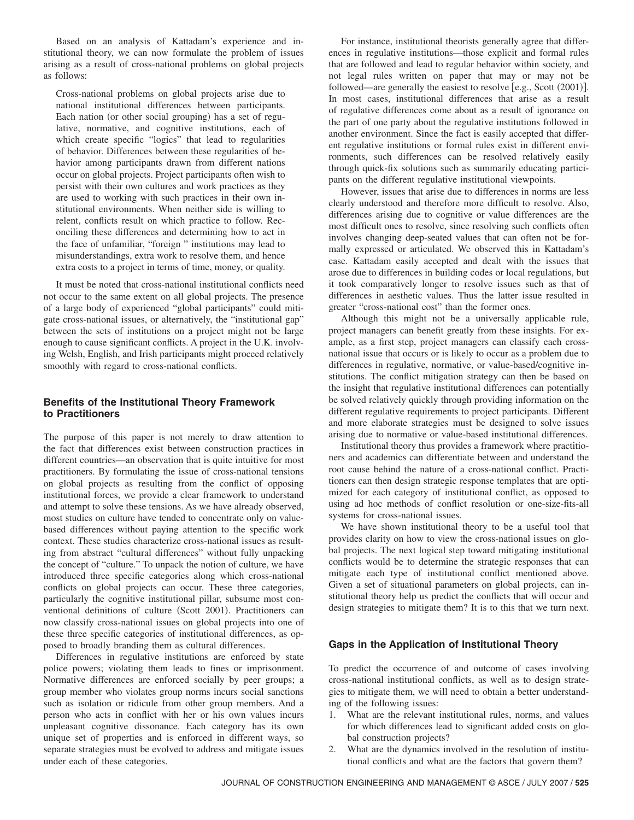Based on an analysis of Kattadam's experience and institutional theory, we can now formulate the problem of issues arising as a result of cross-national problems on global projects as follows:

Cross-national problems on global projects arise due to national institutional differences between participants. Each nation (or other social grouping) has a set of regulative, normative, and cognitive institutions, each of which create specific "logics" that lead to regularities of behavior. Differences between these regularities of behavior among participants drawn from different nations occur on global projects. Project participants often wish to persist with their own cultures and work practices as they are used to working with such practices in their own institutional environments. When neither side is willing to relent, conflicts result on which practice to follow. Reconciling these differences and determining how to act in the face of unfamiliar, "foreign " institutions may lead to misunderstandings, extra work to resolve them, and hence extra costs to a project in terms of time, money, or quality.

It must be noted that cross-national institutional conflicts need not occur to the same extent on all global projects. The presence of a large body of experienced "global participants" could mitigate cross-national issues, or alternatively, the "institutional gap" between the sets of institutions on a project might not be large enough to cause significant conflicts. A project in the U.K. involving Welsh, English, and Irish participants might proceed relatively smoothly with regard to cross-national conflicts.

# **Benefits of the Institutional Theory Framework to Practitioners**

The purpose of this paper is not merely to draw attention to the fact that differences exist between construction practices in different countries—an observation that is quite intuitive for most practitioners. By formulating the issue of cross-national tensions on global projects as resulting from the conflict of opposing institutional forces, we provide a clear framework to understand and attempt to solve these tensions. As we have already observed, most studies on culture have tended to concentrate only on valuebased differences without paying attention to the specific work context. These studies characterize cross-national issues as resulting from abstract "cultural differences" without fully unpacking the concept of "culture." To unpack the notion of culture, we have introduced three specific categories along which cross-national conflicts on global projects can occur. These three categories, particularly the cognitive institutional pillar, subsume most conventional definitions of culture (Scott 2001). Practitioners can now classify cross-national issues on global projects into one of these three specific categories of institutional differences, as opposed to broadly branding them as cultural differences.

Differences in regulative institutions are enforced by state police powers; violating them leads to fines or imprisonment. Normative differences are enforced socially by peer groups; a group member who violates group norms incurs social sanctions such as isolation or ridicule from other group members. And a person who acts in conflict with her or his own values incurs unpleasant cognitive dissonance. Each category has its own unique set of properties and is enforced in different ways, so separate strategies must be evolved to address and mitigate issues under each of these categories.

For instance, institutional theorists generally agree that differences in regulative institutions—those explicit and formal rules that are followed and lead to regular behavior within society, and not legal rules written on paper that may or may not be followed—are generally the easiest to resolve  $[e.g.,$  Scott  $(2001)]$ . In most cases, institutional differences that arise as a result of regulative differences come about as a result of ignorance on the part of one party about the regulative institutions followed in another environment. Since the fact is easily accepted that different regulative institutions or formal rules exist in different environments, such differences can be resolved relatively easily through quick-fix solutions such as summarily educating participants on the different regulative institutional viewpoints.

However, issues that arise due to differences in norms are less clearly understood and therefore more difficult to resolve. Also, differences arising due to cognitive or value differences are the most difficult ones to resolve, since resolving such conflicts often involves changing deep-seated values that can often not be formally expressed or articulated. We observed this in Kattadam's case. Kattadam easily accepted and dealt with the issues that arose due to differences in building codes or local regulations, but it took comparatively longer to resolve issues such as that of differences in aesthetic values. Thus the latter issue resulted in greater "cross-national cost" than the former ones.

Although this might not be a universally applicable rule, project managers can benefit greatly from these insights. For example, as a first step, project managers can classify each crossnational issue that occurs or is likely to occur as a problem due to differences in regulative, normative, or value-based/cognitive institutions. The conflict mitigation strategy can then be based on the insight that regulative institutional differences can potentially be solved relatively quickly through providing information on the different regulative requirements to project participants. Different and more elaborate strategies must be designed to solve issues arising due to normative or value-based institutional differences.

Institutional theory thus provides a framework where practitioners and academics can differentiate between and understand the root cause behind the nature of a cross-national conflict. Practitioners can then design strategic response templates that are optimized for each category of institutional conflict, as opposed to using ad hoc methods of conflict resolution or one-size-fits-all systems for cross-national issues.

We have shown institutional theory to be a useful tool that provides clarity on how to view the cross-national issues on global projects. The next logical step toward mitigating institutional conflicts would be to determine the strategic responses that can mitigate each type of institutional conflict mentioned above. Given a set of situational parameters on global projects, can institutional theory help us predict the conflicts that will occur and design strategies to mitigate them? It is to this that we turn next.

# **Gaps in the Application of Institutional Theory**

To predict the occurrence of and outcome of cases involving cross-national institutional conflicts, as well as to design strategies to mitigate them, we will need to obtain a better understanding of the following issues:

- 1. What are the relevant institutional rules, norms, and values for which differences lead to significant added costs on global construction projects?
- 2. What are the dynamics involved in the resolution of institutional conflicts and what are the factors that govern them?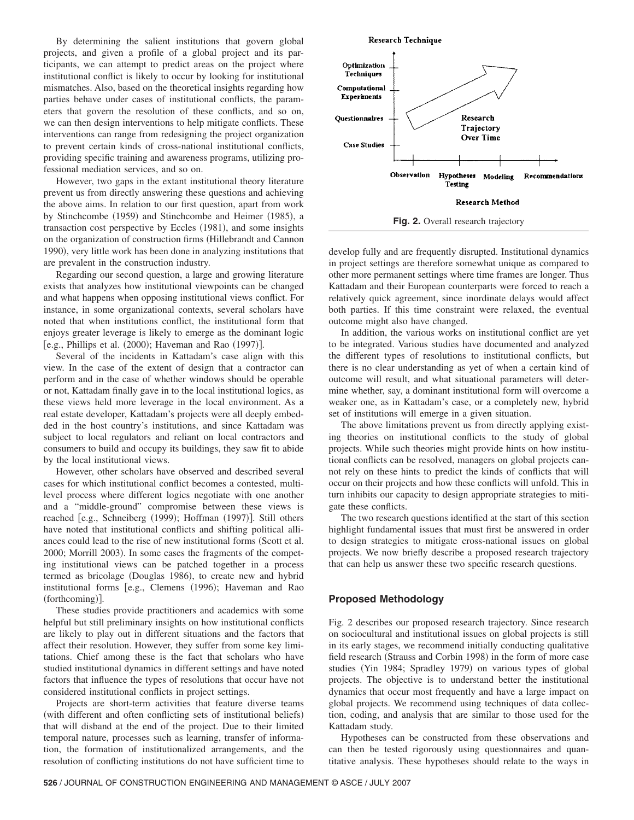By determining the salient institutions that govern global projects, and given a profile of a global project and its participants, we can attempt to predict areas on the project where institutional conflict is likely to occur by looking for institutional mismatches. Also, based on the theoretical insights regarding how parties behave under cases of institutional conflicts, the parameters that govern the resolution of these conflicts, and so on, we can then design interventions to help mitigate conflicts. These interventions can range from redesigning the project organization to prevent certain kinds of cross-national institutional conflicts, providing specific training and awareness programs, utilizing professional mediation services, and so on.

However, two gaps in the extant institutional theory literature prevent us from directly answering these questions and achieving the above aims. In relation to our first question, apart from work by Stinchcombe (1959) and Stinchcombe and Heimer (1985), a transaction cost perspective by Eccles (1981), and some insights on the organization of construction firms (Hillebrandt and Cannon 1990), very little work has been done in analyzing institutions that are prevalent in the construction industry.

Regarding our second question, a large and growing literature exists that analyzes how institutional viewpoints can be changed and what happens when opposing institutional views conflict. For instance, in some organizational contexts, several scholars have noted that when institutions conflict, the institutional form that enjoys greater leverage is likely to emerge as the dominant logic [e.g., Phillips et al.  $(2000)$ ; Haveman and Rao  $(1997)$ ].

Several of the incidents in Kattadam's case align with this view. In the case of the extent of design that a contractor can perform and in the case of whether windows should be operable or not, Kattadam finally gave in to the local institutional logics, as these views held more leverage in the local environment. As a real estate developer, Kattadam's projects were all deeply embedded in the host country's institutions, and since Kattadam was subject to local regulators and reliant on local contractors and consumers to build and occupy its buildings, they saw fit to abide by the local institutional views.

However, other scholars have observed and described several cases for which institutional conflict becomes a contested, multilevel process where different logics negotiate with one another and a "middle-ground" compromise between these views is reached [e.g., Schneiberg (1999); Hoffman (1997)]. Still others have noted that institutional conflicts and shifting political alliances could lead to the rise of new institutional forms (Scott et al. 2000; Morrill 2003). In some cases the fragments of the competing institutional views can be patched together in a process termed as bricolage (Douglas 1986), to create new and hybrid institutional forms [e.g., Clemens (1996); Haveman and Rao (forthcoming)].

These studies provide practitioners and academics with some helpful but still preliminary insights on how institutional conflicts are likely to play out in different situations and the factors that affect their resolution. However, they suffer from some key limitations. Chief among these is the fact that scholars who have studied institutional dynamics in different settings and have noted factors that influence the types of resolutions that occur have not considered institutional conflicts in project settings.

Projects are short-term activities that feature diverse teams (with different and often conflicting sets of institutional beliefs) that will disband at the end of the project. Due to their limited temporal nature, processes such as learning, transfer of information, the formation of institutionalized arrangements, and the resolution of conflicting institutions do not have sufficient time to





develop fully and are frequently disrupted. Institutional dynamics in project settings are therefore somewhat unique as compared to other more permanent settings where time frames are longer. Thus Kattadam and their European counterparts were forced to reach a relatively quick agreement, since inordinate delays would affect both parties. If this time constraint were relaxed, the eventual outcome might also have changed.

In addition, the various works on institutional conflict are yet to be integrated. Various studies have documented and analyzed the different types of resolutions to institutional conflicts, but there is no clear understanding as yet of when a certain kind of outcome will result, and what situational parameters will determine whether, say, a dominant institutional form will overcome a weaker one, as in Kattadam's case, or a completely new, hybrid set of institutions will emerge in a given situation.

The above limitations prevent us from directly applying existing theories on institutional conflicts to the study of global projects. While such theories might provide hints on how institutional conflicts can be resolved, managers on global projects cannot rely on these hints to predict the kinds of conflicts that will occur on their projects and how these conflicts will unfold. This in turn inhibits our capacity to design appropriate strategies to mitigate these conflicts.

The two research questions identified at the start of this section highlight fundamental issues that must first be answered in order to design strategies to mitigate cross-national issues on global projects. We now briefly describe a proposed research trajectory that can help us answer these two specific research questions.

#### **Proposed Methodology**

Fig. 2 describes our proposed research trajectory. Since research on sociocultural and institutional issues on global projects is still in its early stages, we recommend initially conducting qualitative field research (Strauss and Corbin 1998) in the form of more case studies (Yin 1984; Spradley 1979) on various types of global projects. The objective is to understand better the institutional dynamics that occur most frequently and have a large impact on global projects. We recommend using techniques of data collection, coding, and analysis that are similar to those used for the Kattadam study.

Hypotheses can be constructed from these observations and can then be tested rigorously using questionnaires and quantitative analysis. These hypotheses should relate to the ways in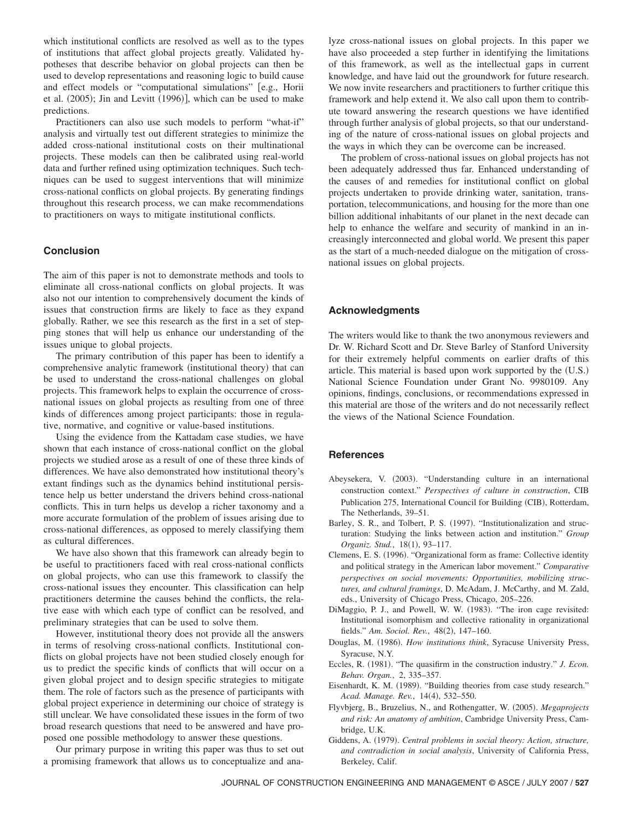which institutional conflicts are resolved as well as to the types of institutions that affect global projects greatly. Validated hypotheses that describe behavior on global projects can then be used to develop representations and reasoning logic to build cause and effect models or "computational simulations" [e.g., Horii et al. (2005); Jin and Levitt (1996)], which can be used to make predictions.

Practitioners can also use such models to perform "what-if" analysis and virtually test out different strategies to minimize the added cross-national institutional costs on their multinational projects. These models can then be calibrated using real-world data and further refined using optimization techniques. Such techniques can be used to suggest interventions that will minimize cross-national conflicts on global projects. By generating findings throughout this research process, we can make recommendations to practitioners on ways to mitigate institutional conflicts.

## **Conclusion**

The aim of this paper is not to demonstrate methods and tools to eliminate all cross-national conflicts on global projects. It was also not our intention to comprehensively document the kinds of issues that construction firms are likely to face as they expand globally. Rather, we see this research as the first in a set of stepping stones that will help us enhance our understanding of the issues unique to global projects.

The primary contribution of this paper has been to identify a comprehensive analytic framework (institutional theory) that can be used to understand the cross-national challenges on global projects. This framework helps to explain the occurrence of crossnational issues on global projects as resulting from one of three kinds of differences among project participants: those in regulative, normative, and cognitive or value-based institutions.

Using the evidence from the Kattadam case studies, we have shown that each instance of cross-national conflict on the global projects we studied arose as a result of one of these three kinds of differences. We have also demonstrated how institutional theory's extant findings such as the dynamics behind institutional persistence help us better understand the drivers behind cross-national conflicts. This in turn helps us develop a richer taxonomy and a more accurate formulation of the problem of issues arising due to cross-national differences, as opposed to merely classifying them as cultural differences.

We have also shown that this framework can already begin to be useful to practitioners faced with real cross-national conflicts on global projects, who can use this framework to classify the cross-national issues they encounter. This classification can help practitioners determine the causes behind the conflicts, the relative ease with which each type of conflict can be resolved, and preliminary strategies that can be used to solve them.

However, institutional theory does not provide all the answers in terms of resolving cross-national conflicts. Institutional conflicts on global projects have not been studied closely enough for us to predict the specific kinds of conflicts that will occur on a given global project and to design specific strategies to mitigate them. The role of factors such as the presence of participants with global project experience in determining our choice of strategy is still unclear. We have consolidated these issues in the form of two broad research questions that need to be answered and have proposed one possible methodology to answer these questions.

Our primary purpose in writing this paper was thus to set out a promising framework that allows us to conceptualize and ana-

lyze cross-national issues on global projects. In this paper we have also proceeded a step further in identifying the limitations of this framework, as well as the intellectual gaps in current knowledge, and have laid out the groundwork for future research. We now invite researchers and practitioners to further critique this framework and help extend it. We also call upon them to contribute toward answering the research questions we have identified through further analysis of global projects, so that our understanding of the nature of cross-national issues on global projects and the ways in which they can be overcome can be increased.

The problem of cross-national issues on global projects has not been adequately addressed thus far. Enhanced understanding of the causes of and remedies for institutional conflict on global projects undertaken to provide drinking water, sanitation, transportation, telecommunications, and housing for the more than one billion additional inhabitants of our planet in the next decade can help to enhance the welfare and security of mankind in an increasingly interconnected and global world. We present this paper as the start of a much-needed dialogue on the mitigation of crossnational issues on global projects.

# **Acknowledgments**

The writers would like to thank the two anonymous reviewers and Dr. W. Richard Scott and Dr. Steve Barley of Stanford University for their extremely helpful comments on earlier drafts of this article. This material is based upon work supported by the (U.S.) National Science Foundation under Grant No. 9980109. Any opinions, findings, conclusions, or recommendations expressed in this material are those of the writers and do not necessarily reflect the views of the National Science Foundation.

# **References**

- Abeysekera, V. (2003). "Understanding culture in an international construction context." *Perspectives of culture in construction*, CIB Publication 275, International Council for Building (CIB), Rotterdam, The Netherlands, 39–51.
- Barley, S. R., and Tolbert, P. S. (1997). "Institutionalization and structuration: Studying the links between action and institution." *Group* Organiz. Stud., 18(1), 93-117.
- Clemens, E. S. (1996). "Organizational form as frame: Collective identity and political strategy in the American labor movement." *Comparative perspectives on social movements: Opportunities, mobilizing structures, and cultural framings*, D. McAdam, J. McCarthy, and M. Zald, eds., University of Chicago Press, Chicago, 205–226.
- DiMaggio, P. J., and Powell, W. W. (1983). "The iron cage revisited: Institutional isomorphism and collective rationality in organizational fields." Am. Sociol. Rev., 48(2), 147-160.
- Douglas, M. (1986). How institutions think, Syracuse University Press, Syracuse, N.Y.
- Eccles, R. (1981). "The quasifirm in the construction industry." *J. Econ. Behav. Organ.*, 2, 335–357.
- Eisenhardt, K. M. (1989). "Building theories from case study research." Acad. Manage. Rev., 14(4), 532–550.
- Flyvbjerg, B., Bruzelius, N., and Rothengatter, W. (2005). Megaprojects *and risk: An anatomy of ambition*, Cambridge University Press, Cambridge, U.K.
- Giddens, A. (1979). Central problems in social theory: Action, structure, *and contradiction in social analysis*, University of California Press, Berkeley, Calif.